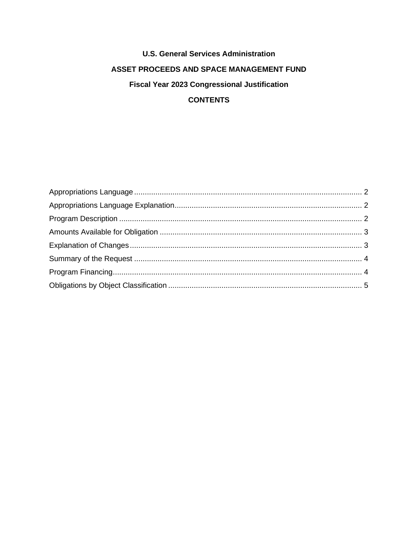# **U.S. General Services Administration** ASSET PROCEEDS AND SPACE MANAGEMENT FUND **Fiscal Year 2023 Congressional Justification CONTENTS**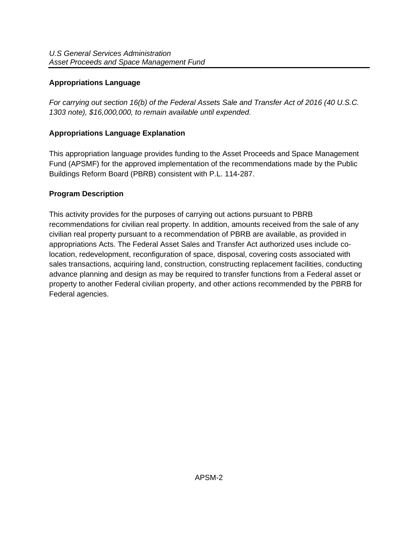## <span id="page-1-0"></span>**Appropriations Language**

*For carrying out section 16(b) of the Federal Assets Sale and Transfer Act of 2016 (40 U.S.C. 1303 note), \$16,000,000, to remain available until expended.* 

## <span id="page-1-1"></span>**Appropriations Language Explanation**

This appropriation language provides funding to the Asset Proceeds and Space Management Fund (APSMF) for the approved implementation of the recommendations made by the Public Buildings Reform Board (PBRB) consistent with P.L. 114-287.

## <span id="page-1-2"></span>**Program Description**

This activity provides for the purposes of carrying out actions pursuant to PBRB recommendations for civilian real property. In addition, amounts received from the sale of any civilian real property pursuant to a recommendation of PBRB are available, as provided in appropriations Acts. The Federal Asset Sales and Transfer Act authorized uses include colocation, redevelopment, reconfiguration of space, disposal, covering costs associated with sales transactions, acquiring land, construction, constructing replacement facilities, conducting advance planning and design as may be required to transfer functions from a Federal asset or property to another Federal civilian property, and other actions recommended by the PBRB for Federal agencies.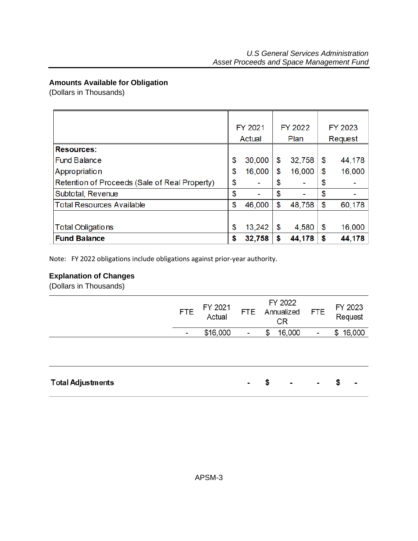## <span id="page-2-0"></span>**Amounts Available for Obligation**

(Dollars in Thousands)

|                                               |    | FY 2021 | FY 2022 |        | FY 2023 |         |
|-----------------------------------------------|----|---------|---------|--------|---------|---------|
|                                               |    | Actual  |         | Plan   |         | Request |
| <b>Resources:</b>                             |    |         |         |        |         |         |
| <b>Fund Balance</b>                           | \$ | 30,000  | \$      | 32,758 | \$      | 44,178  |
| Appropriation                                 | \$ | 16,000  | \$      | 16,000 | \$      | 16,000  |
| Retention of Proceeds (Sale of Real Property) | \$ |         | \$      |        | \$      |         |
| Subtotal, Revenue                             | \$ |         | \$      |        | \$      |         |
| <b>Total Resources Available</b>              | \$ | 46,000  | \$      | 48,758 | \$      | 60,178  |
|                                               |    |         |         |        |         |         |
| <b>Total Obligations</b>                      | \$ | 13,242  | \$      | 4,580  | \$      | 16,000  |
| <b>Fund Balance</b>                           | \$ | 32,758  | S       | 44,178 | \$      | 44,178  |

Note: FY 2022 obligations include obligations against prior-year authority.

## <span id="page-2-1"></span>**Explanation of Changes**

(Dollars in Thousands)

|                          | <b>FTE</b> | FY 2021<br>Actual | <b>FTE</b>               | FY 2022<br>Annualized<br>CR |                | FTE                      | FY 2023<br>Request       |  |  |
|--------------------------|------------|-------------------|--------------------------|-----------------------------|----------------|--------------------------|--------------------------|--|--|
|                          | -          | \$16,000          | $\overline{\phantom{a}}$ | \$                          | 16,000         | $\overline{\phantom{a}}$ | \$16,000                 |  |  |
|                          |            |                   |                          |                             |                |                          |                          |  |  |
| <b>Total Adjustments</b> |            |                   | $\blacksquare$           | S                           | $\blacksquare$ | $\blacksquare$           | $\overline{\phantom{a}}$ |  |  |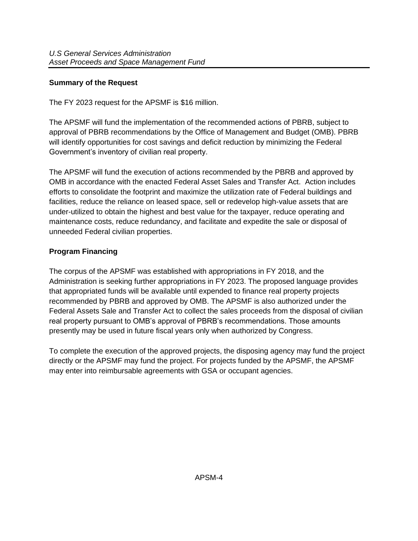## <span id="page-3-0"></span>**Summary of the Request**

The FY 2023 request for the APSMF is \$16 million.

The APSMF will fund the implementation of the recommended actions of PBRB, subject to approval of PBRB recommendations by the Office of Management and Budget (OMB). PBRB will identify opportunities for cost savings and deficit reduction by minimizing the Federal Government's inventory of civilian real property.

The APSMF will fund the execution of actions recommended by the PBRB and approved by OMB in accordance with the enacted Federal Asset Sales and Transfer Act. Action includes efforts to consolidate the footprint and maximize the utilization rate of Federal buildings and facilities, reduce the reliance on leased space, sell or redevelop high-value assets that are under-utilized to obtain the highest and best value for the taxpayer, reduce operating and maintenance costs, reduce redundancy, and facilitate and expedite the sale or disposal of unneeded Federal civilian properties.

## <span id="page-3-1"></span>**Program Financing**

The corpus of the APSMF was established with appropriations in FY 2018, and the Administration is seeking further appropriations in FY 2023. The proposed language provides that appropriated funds will be available until expended to finance real property projects recommended by PBRB and approved by OMB. The APSMF is also authorized under the Federal Assets Sale and Transfer Act to collect the sales proceeds from the disposal of civilian real property pursuant to OMB's approval of PBRB's recommendations. Those amounts presently may be used in future fiscal years only when authorized by Congress.

To complete the execution of the approved projects, the disposing agency may fund the project directly or the APSMF may fund the project. For projects funded by the APSMF, the APSMF may enter into reimbursable agreements with GSA or occupant agencies.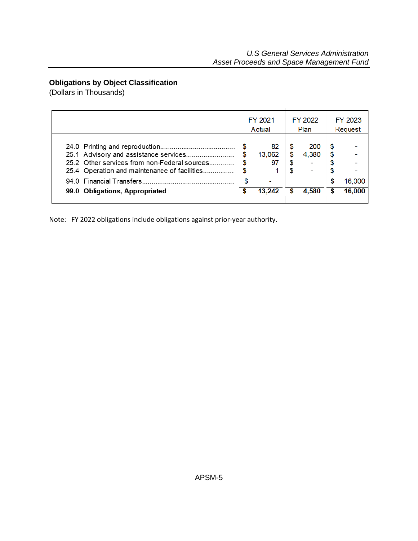## <span id="page-4-0"></span>**Obligations by Object Classification**

(Dollars in Thousands)

|                                                                                                                                       | FY 2021<br>Actual  |                      | FY 2022<br>Plan | FY 2023<br>Request |        |
|---------------------------------------------------------------------------------------------------------------------------------------|--------------------|----------------------|-----------------|--------------------|--------|
| 25.1 Advisory and assistance services<br>25.2 Other services from non-Federal sources<br>25.4 Operation and maintenance of facilities | 82<br>13.062<br>97 | S<br>\$<br>\$.<br>£. | 200<br>4.380    | S<br>\$.           |        |
|                                                                                                                                       |                    |                      |                 | S                  | 16,000 |
| 99.0 Obligations, Appropriated                                                                                                        | 13.242             |                      | 4.580           | S                  | 16,000 |

Note: FY 2022 obligations include obligations against prior-year authority.